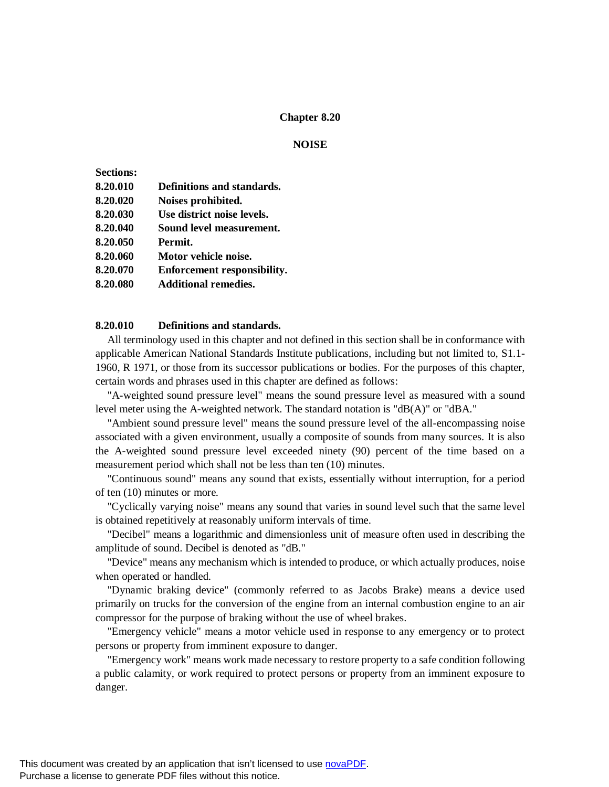### **Chapter 8.20**

#### **NOISE**

| <b>Sections:</b> |                             |
|------------------|-----------------------------|
| 8.20.010         | Definitions and standards.  |
| 8.20.020         | Noises prohibited.          |
| 8.20.030         | Use district noise levels.  |
| 8.20.040         | Sound level measurement.    |
| 8.20.050         | Permit.                     |
| 8.20.060         | Motor vehicle noise.        |
| 8.20.070         | Enforcement responsibility. |
| 8.20.080         | Additional remedies.        |
|                  |                             |

### **8.20.010 Definitions and standards.**

All terminology used in this chapter and not defined in this section shall be in conformance with applicable American National Standards Institute publications, including but not limited to, S1.1- 1960, R 1971, or those from its successor publications or bodies. For the purposes of this chapter, certain words and phrases used in this chapter are defined as follows:

"A-weighted sound pressure level" means the sound pressure level as measured with a sound level meter using the A-weighted network. The standard notation is "dB(A)" or "dBA."

"Ambient sound pressure level" means the sound pressure level of the all-encompassing noise associated with a given environment, usually a composite of sounds from many sources. It is also the A-weighted sound pressure level exceeded ninety (90) percent of the time based on a measurement period which shall not be less than ten (10) minutes.

"Continuous sound" means any sound that exists, essentially without interruption, for a period of ten (10) minutes or more.

"Cyclically varying noise" means any sound that varies in sound level such that the same level is obtained repetitively at reasonably uniform intervals of time.

"Decibel" means a logarithmic and dimensionless unit of measure often used in describing the amplitude of sound. Decibel is denoted as "dB."

"Device" means any mechanism which is intended to produce, or which actually produces, noise when operated or handled.

"Dynamic braking device" (commonly referred to as Jacobs Brake) means a device used primarily on trucks for the conversion of the engine from an internal combustion engine to an air compressor for the purpose of braking without the use of wheel brakes.

"Emergency vehicle" means a motor vehicle used in response to any emergency or to protect persons or property from imminent exposure to danger.

"Emergency work" means work made necessary to restore property to a safe condition following a public calamity, or work required to protect persons or property from an imminent exposure to danger.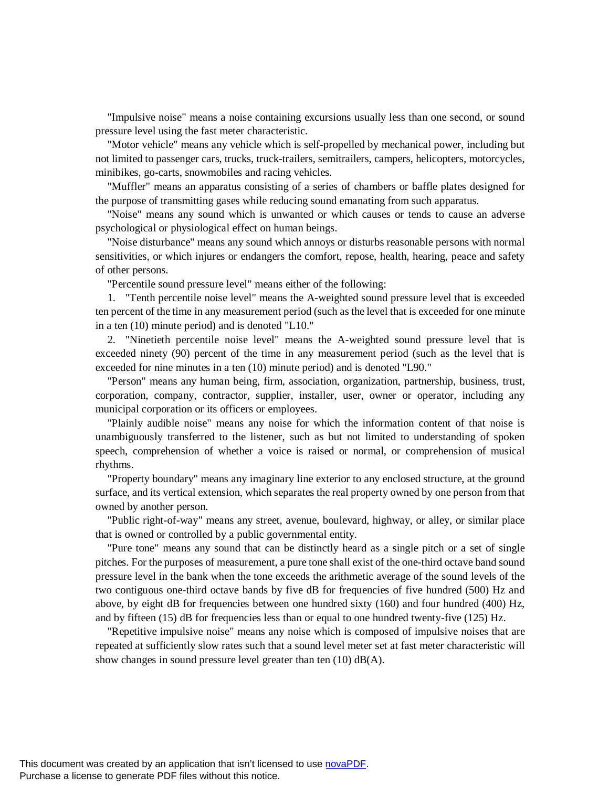"Impulsive noise" means a noise containing excursions usually less than one second, or sound pressure level using the fast meter characteristic.

"Motor vehicle" means any vehicle which is self-propelled by mechanical power, including but not limited to passenger cars, trucks, truck-trailers, semitrailers, campers, helicopters, motorcycles, minibikes, go-carts, snowmobiles and racing vehicles.

"Muffler" means an apparatus consisting of a series of chambers or baffle plates designed for the purpose of transmitting gases while reducing sound emanating from such apparatus.

"Noise" means any sound which is unwanted or which causes or tends to cause an adverse psychological or physiological effect on human beings.

"Noise disturbance" means any sound which annoys or disturbs reasonable persons with normal sensitivities, or which injures or endangers the comfort, repose, health, hearing, peace and safety of other persons.

"Percentile sound pressure level" means either of the following:

1. "Tenth percentile noise level" means the A-weighted sound pressure level that is exceeded ten percent of the time in any measurement period (such as the level that is exceeded for one minute in a ten (10) minute period) and is denoted "L10."

2. "Ninetieth percentile noise level" means the A-weighted sound pressure level that is exceeded ninety (90) percent of the time in any measurement period (such as the level that is exceeded for nine minutes in a ten (10) minute period) and is denoted "L90."

"Person" means any human being, firm, association, organization, partnership, business, trust, corporation, company, contractor, supplier, installer, user, owner or operator, including any municipal corporation or its officers or employees.

"Plainly audible noise" means any noise for which the information content of that noise is unambiguously transferred to the listener, such as but not limited to understanding of spoken speech, comprehension of whether a voice is raised or normal, or comprehension of musical rhythms.

"Property boundary" means any imaginary line exterior to any enclosed structure, at the ground surface, and its vertical extension, which separates the real property owned by one person from that owned by another person.

"Public right-of-way" means any street, avenue, boulevard, highway, or alley, or similar place that is owned or controlled by a public governmental entity.

"Pure tone" means any sound that can be distinctly heard as a single pitch or a set of single pitches. For the purposes of measurement, a pure tone shall exist of the one-third octave band sound pressure level in the bank when the tone exceeds the arithmetic average of the sound levels of the two contiguous one-third octave bands by five dB for frequencies of five hundred (500) Hz and above, by eight dB for frequencies between one hundred sixty (160) and four hundred (400) Hz, and by fifteen (15) dB for frequencies less than or equal to one hundred twenty-five (125) Hz.

"Repetitive impulsive noise" means any noise which is composed of impulsive noises that are repeated at sufficiently slow rates such that a sound level meter set at fast meter characteristic will show changes in sound pressure level greater than ten (10) dB(A).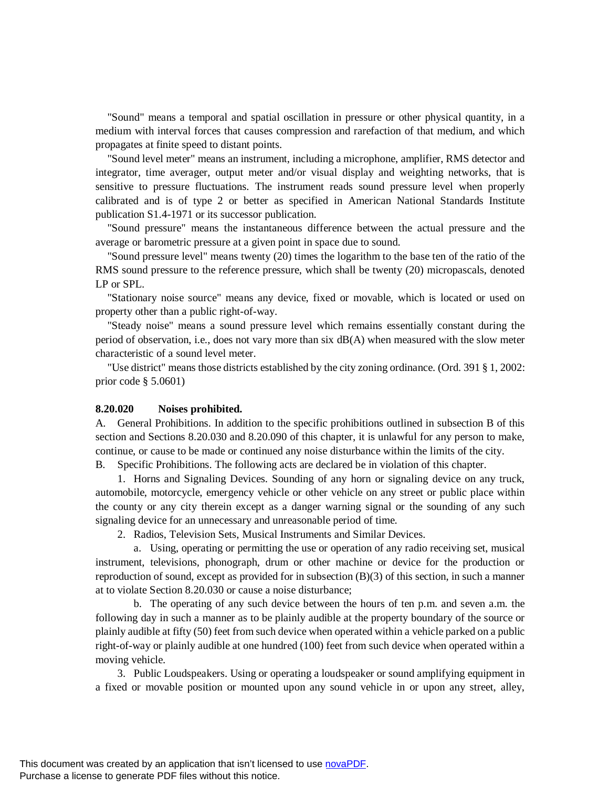"Sound" means a temporal and spatial oscillation in pressure or other physical quantity, in a medium with interval forces that causes compression and rarefaction of that medium, and which propagates at finite speed to distant points.

"Sound level meter" means an instrument, including a microphone, amplifier, RMS detector and integrator, time averager, output meter and/or visual display and weighting networks, that is sensitive to pressure fluctuations. The instrument reads sound pressure level when properly calibrated and is of type 2 or better as specified in American National Standards Institute publication S1.4-1971 or its successor publication.

"Sound pressure" means the instantaneous difference between the actual pressure and the average or barometric pressure at a given point in space due to sound.

"Sound pressure level" means twenty (20) times the logarithm to the base ten of the ratio of the RMS sound pressure to the reference pressure, which shall be twenty (20) micropascals, denoted LP or SPL.

"Stationary noise source" means any device, fixed or movable, which is located or used on property other than a public right-of-way.

"Steady noise" means a sound pressure level which remains essentially constant during the period of observation, i.e., does not vary more than six dB(A) when measured with the slow meter characteristic of a sound level meter.

"Use district" means those districts established by the city zoning ordinance. (Ord. 391 § 1, 2002: prior code § 5.0601)

#### **8.20.020 Noises prohibited.**

A. General Prohibitions. In addition to the specific prohibitions outlined in subsection B of this section and Sections 8.20.030 and 8.20.090 of this chapter, it is unlawful for any person to make, continue, or cause to be made or continued any noise disturbance within the limits of the city.

B. Specific Prohibitions. The following acts are declared be in violation of this chapter.

1. Horns and Signaling Devices. Sounding of any horn or signaling device on any truck, automobile, motorcycle, emergency vehicle or other vehicle on any street or public place within the county or any city therein except as a danger warning signal or the sounding of any such signaling device for an unnecessary and unreasonable period of time.

2. Radios, Television Sets, Musical Instruments and Similar Devices.

a. Using, operating or permitting the use or operation of any radio receiving set, musical instrument, televisions, phonograph, drum or other machine or device for the production or reproduction of sound, except as provided for in subsection (B)(3) of this section, in such a manner at to violate Section 8.20.030 or cause a noise disturbance;

b. The operating of any such device between the hours of ten p.m. and seven a.m. the following day in such a manner as to be plainly audible at the property boundary of the source or plainly audible at fifty (50) feet from such device when operated within a vehicle parked on a public right-of-way or plainly audible at one hundred (100) feet from such device when operated within a moving vehicle.

3. Public Loudspeakers. Using or operating a loudspeaker or sound amplifying equipment in a fixed or movable position or mounted upon any sound vehicle in or upon any street, alley,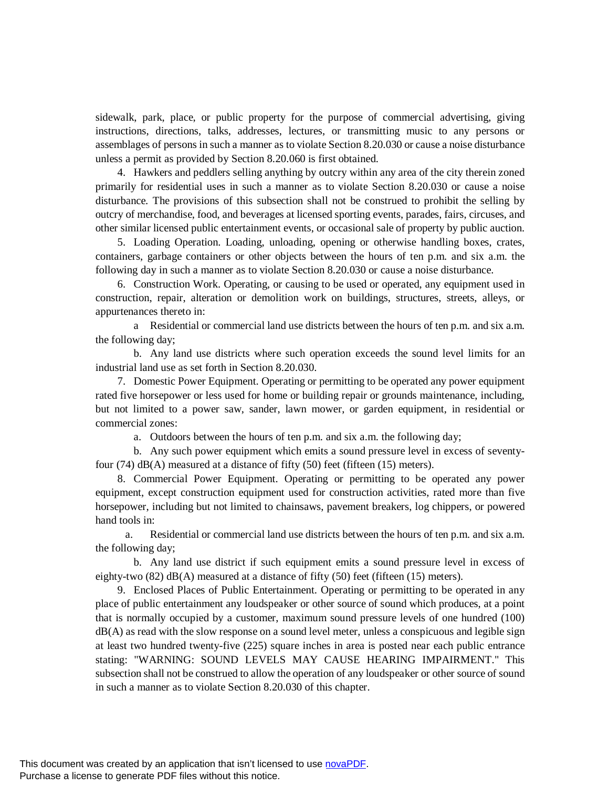sidewalk, park, place, or public property for the purpose of commercial advertising, giving instructions, directions, talks, addresses, lectures, or transmitting music to any persons or assemblages of persons in such a manner as to violate Section 8.20.030 or cause a noise disturbance unless a permit as provided by Section 8.20.060 is first obtained.

4. Hawkers and peddlers selling anything by outcry within any area of the city therein zoned primarily for residential uses in such a manner as to violate Section 8.20.030 or cause a noise disturbance. The provisions of this subsection shall not be construed to prohibit the selling by outcry of merchandise, food, and beverages at licensed sporting events, parades, fairs, circuses, and other similar licensed public entertainment events, or occasional sale of property by public auction.

5. Loading Operation. Loading, unloading, opening or otherwise handling boxes, crates, containers, garbage containers or other objects between the hours of ten p.m. and six a.m. the following day in such a manner as to violate Section 8.20.030 or cause a noise disturbance.

6. Construction Work. Operating, or causing to be used or operated, any equipment used in construction, repair, alteration or demolition work on buildings, structures, streets, alleys, or appurtenances thereto in:

a Residential or commercial land use districts between the hours of ten p.m. and six a.m. the following day;

b. Any land use districts where such operation exceeds the sound level limits for an industrial land use as set forth in Section 8.20.030.

7. Domestic Power Equipment. Operating or permitting to be operated any power equipment rated five horsepower or less used for home or building repair or grounds maintenance, including, but not limited to a power saw, sander, lawn mower, or garden equipment, in residential or commercial zones:

a. Outdoors between the hours of ten p.m. and six a.m. the following day;

b. Any such power equipment which emits a sound pressure level in excess of seventyfour (74) dB(A) measured at a distance of fifty (50) feet (fifteen (15) meters).

8. Commercial Power Equipment. Operating or permitting to be operated any power equipment, except construction equipment used for construction activities, rated more than five horsepower, including but not limited to chainsaws, pavement breakers, log chippers, or powered hand tools in:

a. Residential or commercial land use districts between the hours of ten p.m. and six a.m. the following day;

b. Any land use district if such equipment emits a sound pressure level in excess of eighty-two  $(82)$  dB(A) measured at a distance of fifty  $(50)$  feet (fifteen  $(15)$  meters).

9. Enclosed Places of Public Entertainment. Operating or permitting to be operated in any place of public entertainment any loudspeaker or other source of sound which produces, at a point that is normally occupied by a customer, maximum sound pressure levels of one hundred (100)  $dB(A)$  as read with the slow response on a sound level meter, unless a conspicuous and legible sign at least two hundred twenty-five (225) square inches in area is posted near each public entrance stating: "WARNING: SOUND LEVELS MAY CAUSE HEARING IMPAIRMENT." This subsection shall not be construed to allow the operation of any loudspeaker or other source of sound in such a manner as to violate Section 8.20.030 of this chapter.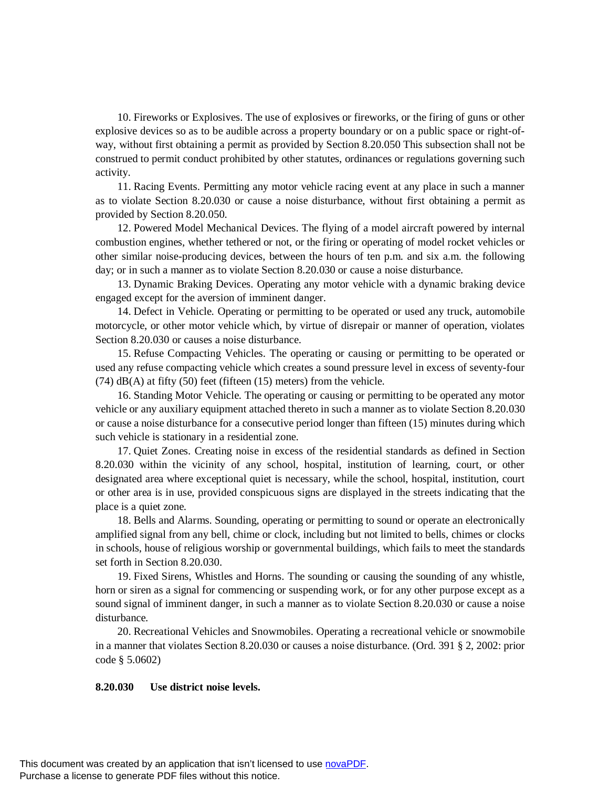10. Fireworks or Explosives. The use of explosives or fireworks, or the firing of guns or other explosive devices so as to be audible across a property boundary or on a public space or right-ofway, without first obtaining a permit as provided by Section 8.20.050 This subsection shall not be construed to permit conduct prohibited by other statutes, ordinances or regulations governing such activity.

11. Racing Events. Permitting any motor vehicle racing event at any place in such a manner as to violate Section 8.20.030 or cause a noise disturbance, without first obtaining a permit as provided by Section 8.20.050.

12. Powered Model Mechanical Devices. The flying of a model aircraft powered by internal combustion engines, whether tethered or not, or the firing or operating of model rocket vehicles or other similar noise-producing devices, between the hours of ten p.m. and six a.m. the following day; or in such a manner as to violate Section 8.20.030 or cause a noise disturbance.

13. Dynamic Braking Devices. Operating any motor vehicle with a dynamic braking device engaged except for the aversion of imminent danger.

14. Defect in Vehicle. Operating or permitting to be operated or used any truck, automobile motorcycle, or other motor vehicle which, by virtue of disrepair or manner of operation, violates Section 8.20.030 or causes a noise disturbance.

15. Refuse Compacting Vehicles. The operating or causing or permitting to be operated or used any refuse compacting vehicle which creates a sound pressure level in excess of seventy-four  $(74)$  dB(A) at fifty (50) feet (fifteen (15) meters) from the vehicle.

16. Standing Motor Vehicle. The operating or causing or permitting to be operated any motor vehicle or any auxiliary equipment attached thereto in such a manner as to violate Section 8.20.030 or cause a noise disturbance for a consecutive period longer than fifteen (15) minutes during which such vehicle is stationary in a residential zone.

17. Quiet Zones. Creating noise in excess of the residential standards as defined in Section 8.20.030 within the vicinity of any school, hospital, institution of learning, court, or other designated area where exceptional quiet is necessary, while the school, hospital, institution, court or other area is in use, provided conspicuous signs are displayed in the streets indicating that the place is a quiet zone.

18. Bells and Alarms. Sounding, operating or permitting to sound or operate an electronically amplified signal from any bell, chime or clock, including but not limited to bells, chimes or clocks in schools, house of religious worship or governmental buildings, which fails to meet the standards set forth in Section 8.20.030.

19. Fixed Sirens, Whistles and Horns. The sounding or causing the sounding of any whistle, horn or siren as a signal for commencing or suspending work, or for any other purpose except as a sound signal of imminent danger, in such a manner as to violate Section 8.20.030 or cause a noise disturbance.

20. Recreational Vehicles and Snowmobiles. Operating a recreational vehicle or snowmobile in a manner that violates Section 8.20.030 or causes a noise disturbance. (Ord. 391 § 2, 2002: prior code § 5.0602)

#### **8.20.030 Use district noise levels.**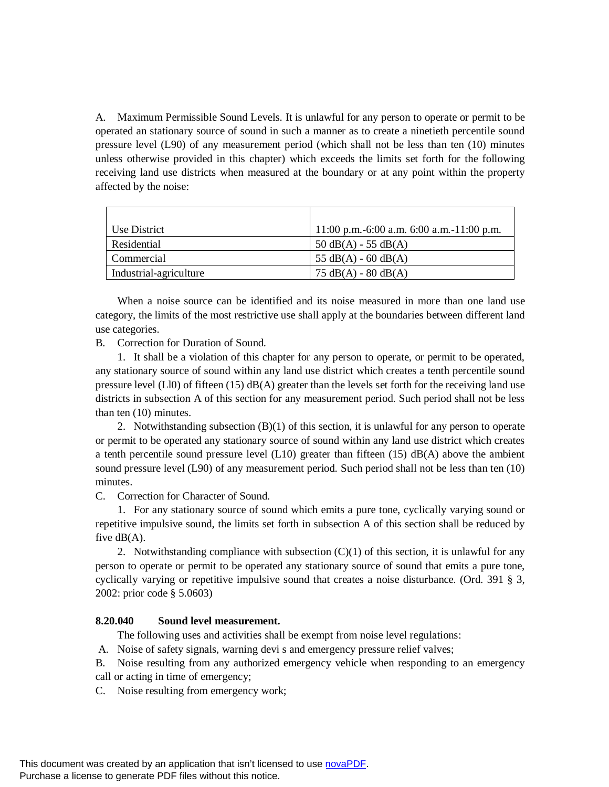A. Maximum Permissible Sound Levels. It is unlawful for any person to operate or permit to be operated an stationary source of sound in such a manner as to create a ninetieth percentile sound pressure level (L90) of any measurement period (which shall not be less than ten (10) minutes unless otherwise provided in this chapter) which exceeds the limits set forth for the following receiving land use districts when measured at the boundary or at any point within the property affected by the noise:

| Use District           | 11:00 p.m.-6:00 a.m. 6:00 a.m.-11:00 p.m. |
|------------------------|-------------------------------------------|
| Residential            | $50 \text{ dB}(A) - 55 \text{ dB}(A)$     |
| Commercial             | 55 $dB(A)$ - 60 $dB(A)$                   |
| Industrial-agriculture | $75 \text{ dB}(A) - 80 \text{ dB}(A)$     |

When a noise source can be identified and its noise measured in more than one land use category, the limits of the most restrictive use shall apply at the boundaries between different land use categories.

B. Correction for Duration of Sound.

1. It shall be a violation of this chapter for any person to operate, or permit to be operated, any stationary source of sound within any land use district which creates a tenth percentile sound pressure level (Ll0) of fifteen (15) dB(A) greater than the levels set forth for the receiving land use districts in subsection A of this section for any measurement period. Such period shall not be less than ten (10) minutes.

2. Notwithstanding subsection  $(B)(1)$  of this section, it is unlawful for any person to operate or permit to be operated any stationary source of sound within any land use district which creates a tenth percentile sound pressure level  $(L10)$  greater than fifteen  $(15)$  dB(A) above the ambient sound pressure level (L90) of any measurement period. Such period shall not be less than ten (10) minutes.

C. Correction for Character of Sound.

1. For any stationary source of sound which emits a pure tone, cyclically varying sound or repetitive impulsive sound, the limits set forth in subsection A of this section shall be reduced by five  $dB(A)$ .

2. Notwithstanding compliance with subsection  $(C)(1)$  of this section, it is unlawful for any person to operate or permit to be operated any stationary source of sound that emits a pure tone, cyclically varying or repetitive impulsive sound that creates a noise disturbance. (Ord. 391 § 3, 2002: prior code § 5.0603)

### **8.20.040 Sound level measurement.**

The following uses and activities shall be exempt from noise level regulations:

A. Noise of safety signals, warning devi s and emergency pressure relief valves;

B. Noise resulting from any authorized emergency vehicle when responding to an emergency call or acting in time of emergency;

C. Noise resulting from emergency work;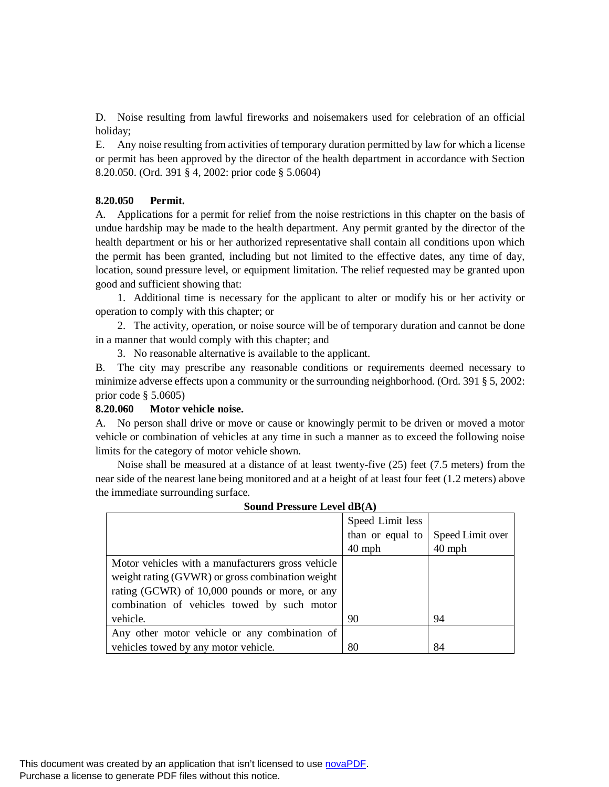D. Noise resulting from lawful fireworks and noisemakers used for celebration of an official holiday;

E. Any noise resulting from activities of temporary duration permitted by law for which a license or permit has been approved by the director of the health department in accordance with Section 8.20.050. (Ord. 391 § 4, 2002: prior code § 5.0604)

# **8.20.050 Permit.**

A. Applications for a permit for relief from the noise restrictions in this chapter on the basis of undue hardship may be made to the health department. Any permit granted by the director of the health department or his or her authorized representative shall contain all conditions upon which the permit has been granted, including but not limited to the effective dates, any time of day, location, sound pressure level, or equipment limitation. The relief requested may be granted upon good and sufficient showing that:

1. Additional time is necessary for the applicant to alter or modify his or her activity or operation to comply with this chapter; or

2. The activity, operation, or noise source will be of temporary duration and cannot be done in a manner that would comply with this chapter; and

3. No reasonable alternative is available to the applicant.

B. The city may prescribe any reasonable conditions or requirements deemed necessary to minimize adverse effects upon a community or the surrounding neighborhood. (Ord. 391 § 5, 2002: prior code § 5.0605)

# **8.20.060 Motor vehicle noise.**

A. No person shall drive or move or cause or knowingly permit to be driven or moved a motor vehicle or combination of vehicles at any time in such a manner as to exceed the following noise limits for the category of motor vehicle shown.

Noise shall be measured at a distance of at least twenty-five (25) feet (7.5 meters) from the near side of the nearest lane being monitored and at a height of at least four feet (1.2 meters) above the immediate surrounding surface.

|                                                   | Speed Limit less |                  |  |
|---------------------------------------------------|------------------|------------------|--|
|                                                   | than or equal to | Speed Limit over |  |
|                                                   | $40$ mph         | $40$ mph         |  |
| Motor vehicles with a manufacturers gross vehicle |                  |                  |  |
| weight rating (GVWR) or gross combination weight  |                  |                  |  |
| rating (GCWR) of 10,000 pounds or more, or any    |                  |                  |  |
| combination of vehicles towed by such motor       |                  |                  |  |
| vehicle.                                          | 90               | 94               |  |
| Any other motor vehicle or any combination of     |                  |                  |  |
| vehicles towed by any motor vehicle.              | 80               | 84               |  |

# **Sound Pressure Level dB(A)**